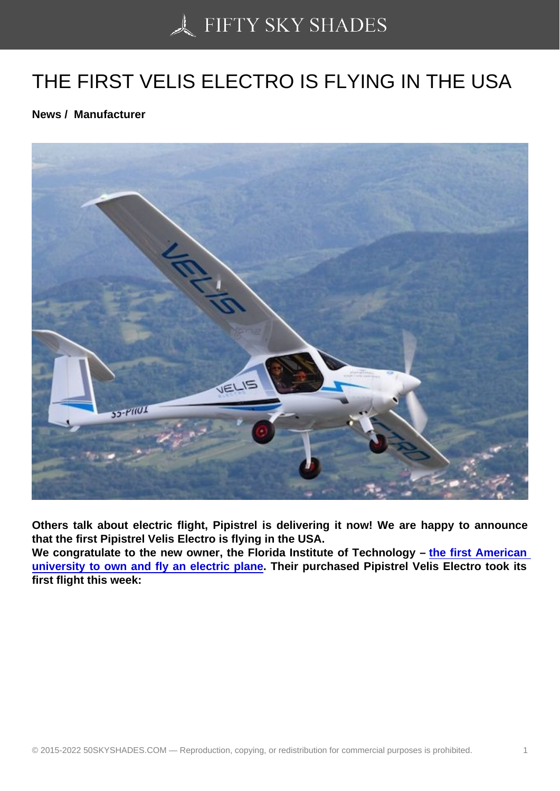## [THE FIRST VELIS ELE](https://50skyshades.com)CTRO IS FLYING IN THE USA

News / Manufacturer

Others talk about electric flight, Pipistrel is delivering it now! We are happy to announce that the first Pipistrel Velis Electro is flying in the USA.

We congratulate to the new owner, the Florida Institute of Technology  $-$  the first American university to own and fly an electric plane . Their purchased Pipistrel Velis Electro took its first flight this week: